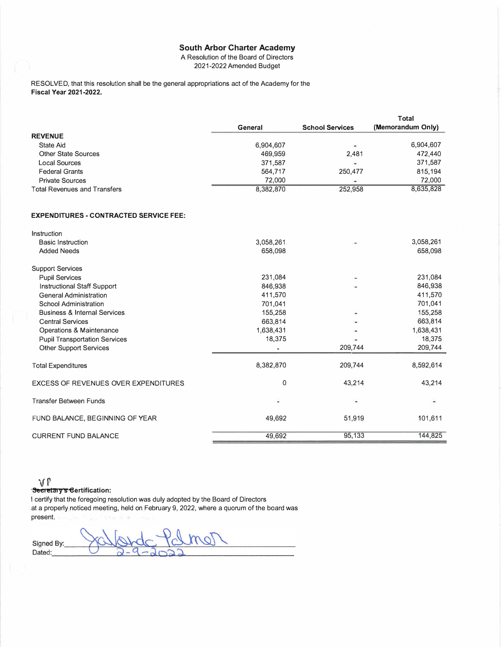A Resolution of the Board of Directors 2021-2022 Amended Budget

RESOLVED, that this resolution shall be the general appropriations act of the Academy for the **Fiscal Year 2021-2022.** 

|                                     |           |                          | Total             |
|-------------------------------------|-----------|--------------------------|-------------------|
|                                     | General   | <b>School Services</b>   | (Memorandum Only) |
| <b>REVENUE</b>                      |           |                          |                   |
| State Aid                           | 6,904,607 | $\bullet$                | 6,904,607         |
| <b>Other State Sources</b>          | 469,959   | 2.481                    | 472,440           |
| Local Sources                       | 371,587   | $\overline{\phantom{a}}$ | 371,587           |
| <b>Federal Grants</b>               | 564,717   | 250,477                  | 815,194           |
| <b>Private Sources</b>              | 72,000    | -4                       | 72,000            |
| <b>Total Revenues and Transfers</b> | 8,382,870 | 252,958                  | 8,635,828         |
|                                     |           |                          |                   |
|                                     |           |                          |                   |

#### **EXPENDITURES • CONTRACTED SERVICE FEE:**

| Instruction                                 |           |         |           |
|---------------------------------------------|-----------|---------|-----------|
| <b>Basic Instruction</b>                    | 3,058,261 |         | 3,058,261 |
| <b>Added Needs</b>                          | 658,098   |         | 658,098   |
| <b>Support Services</b>                     |           |         |           |
| <b>Pupil Services</b>                       | 231,084   |         | 231,084   |
| Instructional Staff Support                 | 846,938   |         | 846,938   |
| <b>General Administration</b>               | 411,570   |         | 411,570   |
| School Administration                       | 701,041   |         | 701,041   |
| <b>Business &amp; Internal Services</b>     | 155,258   |         | 155,258   |
| <b>Central Services</b>                     | 663,814   |         | 663,814   |
| Operations & Maintenance                    | 1,638,431 |         | 1,638,431 |
| <b>Pupil Transportation Services</b>        | 18,375    | ۰       | 18,375    |
| <b>Other Support Services</b>               |           | 209,744 | 209,744   |
| <b>Total Expenditures</b>                   | 8,382,870 | 209,744 | 8,592,614 |
| <b>EXCESS OF REVENUES OVER EXPENDITURES</b> | 0         | 43,214  | 43,214    |
| <b>Transfer Between Funds</b>               | ۰         |         |           |
| FUND BALANCE, BEGINNING OF YEAR             | 49,692    | 51,919  | 101,611   |
| <b>CURRENT FUND BALANCE</b>                 | 49,692    | 95,133  | 144,825   |

# **vr •· Seer eta, y s eertification:**

I certify that the foregoing resolution was duly adopted by the Board of Directors at a properly noticed meeting, held on February 9, 2022, where a quorum of the board was present.

mol Signed By: Dated: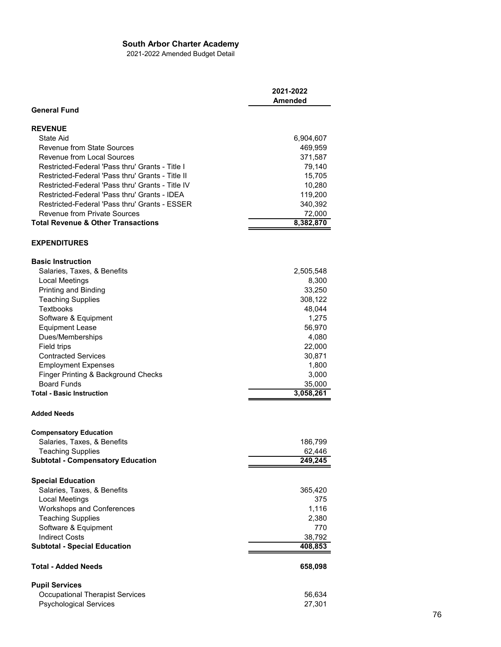2021-2022 Amended Budget Detail

|                                                  | 2021-2022<br><b>Amended</b> |
|--------------------------------------------------|-----------------------------|
| <b>General Fund</b>                              |                             |
| <b>REVENUE</b>                                   |                             |
| State Aid                                        | 6,904,607                   |
| <b>Revenue from State Sources</b>                | 469,959                     |
| <b>Revenue from Local Sources</b>                | 371,587                     |
| Restricted-Federal 'Pass thru' Grants - Title I  | 79,140                      |
| Restricted-Federal 'Pass thru' Grants - Title II | 15,705                      |
| Restricted-Federal 'Pass thru' Grants - Title IV | 10,280                      |
| Restricted-Federal 'Pass thru' Grants - IDEA     | 119,200                     |
| Restricted-Federal 'Pass thru' Grants - ESSER    | 340,392                     |
| <b>Revenue from Private Sources</b>              | 72,000                      |
| <b>Total Revenue &amp; Other Transactions</b>    | 8,382,870                   |
| <b>EXPENDITURES</b>                              |                             |
| <b>Basic Instruction</b>                         |                             |
| Salaries, Taxes, & Benefits                      | 2,505,548                   |
| Local Meetings                                   | 8,300                       |
| Printing and Binding                             | 33,250                      |
| <b>Teaching Supplies</b>                         | 308,122                     |
| <b>Textbooks</b>                                 | 48,044                      |
| Software & Equipment                             | 1,275                       |
| <b>Equipment Lease</b>                           | 56,970                      |
| Dues/Memberships                                 | 4,080                       |
| <b>Field trips</b>                               | 22,000                      |
| <b>Contracted Services</b>                       | 30,871                      |
| <b>Employment Expenses</b>                       | 1,800                       |
| Finger Printing & Background Checks              | 3,000                       |
| <b>Board Funds</b>                               | 35,000                      |
| <b>Total - Basic Instruction</b>                 | 3,058,261                   |
|                                                  |                             |
| <b>Added Needs</b>                               |                             |
| <b>Compensatory Education</b>                    |                             |
| Salaries, Taxes, & Benefits                      | 186,799                     |
| Teaching Supplies                                | 62,446                      |
| <b>Subtotal - Compensatory Education</b>         | 249,245                     |
| <b>Special Education</b>                         |                             |
| Salaries, Taxes, & Benefits                      | 365,420                     |
| Local Meetings                                   | 375                         |
| <b>Workshops and Conferences</b>                 | 1,116                       |
| <b>Teaching Supplies</b>                         | 2,380                       |
| Software & Equipment                             | 770                         |
| <b>Indirect Costs</b>                            | 38,792                      |
| <b>Subtotal - Special Education</b>              | 408,853                     |
| <b>Total - Added Needs</b>                       | 658,098                     |
| <b>Pupil Services</b>                            |                             |
| <b>Occupational Therapist Services</b>           | 56,634                      |
| <b>Psychological Services</b>                    | 27,301                      |
|                                                  |                             |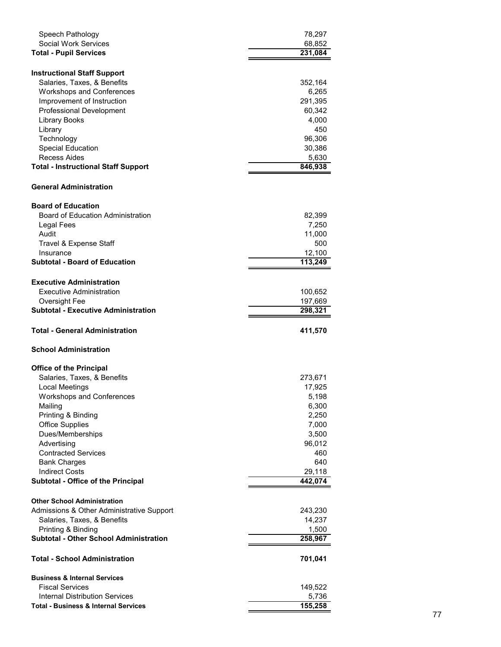| Speech Pathology                                                | 78,297            |
|-----------------------------------------------------------------|-------------------|
| <b>Social Work Services</b>                                     | 68,852            |
| <b>Total - Pupil Services</b>                                   | 231,084           |
|                                                                 |                   |
| <b>Instructional Staff Support</b>                              |                   |
| Salaries, Taxes, & Benefits                                     | 352,164           |
| <b>Workshops and Conferences</b>                                | 6,265             |
| Improvement of Instruction<br><b>Professional Development</b>   | 291,395<br>60,342 |
| <b>Library Books</b>                                            | 4,000             |
| Library                                                         | 450               |
| Technology                                                      | 96,306            |
| Special Education                                               | 30,386            |
| Recess Aides                                                    | 5,630             |
| <b>Total - Instructional Staff Support</b>                      | 846,938           |
|                                                                 |                   |
| <b>General Administration</b>                                   |                   |
| <b>Board of Education</b>                                       |                   |
| <b>Board of Education Administration</b>                        | 82,399            |
| Legal Fees                                                      | 7,250             |
| Audit                                                           | 11,000            |
| Travel & Expense Staff                                          | 500               |
| Insurance                                                       | 12,100            |
| <b>Subtotal - Board of Education</b>                            | 113,249           |
| <b>Executive Administration</b>                                 |                   |
| Executive Administration                                        | 100,652           |
| Oversight Fee                                                   | 197,669           |
| <b>Subtotal - Executive Administration</b>                      | 298,321           |
|                                                                 |                   |
|                                                                 |                   |
| <b>Total - General Administration</b>                           | 411,570           |
| <b>School Administration</b>                                    |                   |
|                                                                 |                   |
| <b>Office of the Principal</b>                                  |                   |
| Salaries, Taxes, & Benefits                                     | 273,671           |
| Local Meetings                                                  | 17,925            |
| <b>Workshops and Conferences</b><br>Mailing                     | 5,198<br>6,300    |
| Printing & Binding                                              | 2,250             |
| <b>Office Supplies</b>                                          | 7,000             |
| Dues/Memberships                                                | 3,500             |
| Advertising                                                     | 96,012            |
| <b>Contracted Services</b>                                      | 460               |
| <b>Bank Charges</b>                                             | 640               |
| <b>Indirect Costs</b>                                           | 29,118            |
| Subtotal - Office of the Principal                              | 442,074           |
|                                                                 |                   |
| <b>Other School Administration</b>                              |                   |
| Admissions & Other Administrative Support                       | 243,230           |
| Salaries, Taxes, & Benefits                                     | 14,237            |
| Printing & Binding                                              | 1,500             |
| <b>Subtotal - Other School Administration</b>                   | 258,967           |
| <b>Total - School Administration</b>                            | 701,041           |
|                                                                 |                   |
| <b>Business &amp; Internal Services</b>                         |                   |
| <b>Fiscal Services</b><br><b>Internal Distribution Services</b> | 149,522<br>5,736  |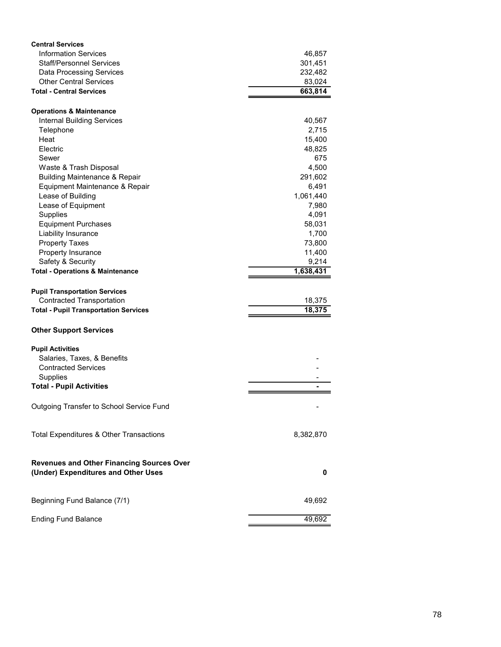| <b>Central Services</b>                                |           |
|--------------------------------------------------------|-----------|
| <b>Information Services</b>                            | 46,857    |
| <b>Staff/Personnel Services</b>                        | 301,451   |
| <b>Data Processing Services</b>                        | 232,482   |
| <b>Other Central Services</b>                          | 83,024    |
| <b>Total - Central Services</b>                        | 663,814   |
|                                                        |           |
| <b>Operations &amp; Maintenance</b>                    |           |
| <b>Internal Building Services</b>                      | 40,567    |
| Telephone                                              | 2,715     |
| Heat                                                   | 15,400    |
| Electric                                               | 48,825    |
| Sewer                                                  | 675       |
| Waste & Trash Disposal                                 | 4,500     |
| <b>Building Maintenance &amp; Repair</b>               | 291,602   |
| Equipment Maintenance & Repair                         | 6,491     |
| Lease of Building                                      | 1,061,440 |
| Lease of Equipment                                     | 7,980     |
| Supplies                                               | 4,091     |
| <b>Equipment Purchases</b>                             | 58,031    |
| Liability Insurance                                    | 1,700     |
| <b>Property Taxes</b>                                  | 73,800    |
| Property Insurance                                     | 11,400    |
| Safety & Security                                      | 9,214     |
| <b>Total - Operations &amp; Maintenance</b>            | 1,638,431 |
|                                                        |           |
| <b>Pupil Transportation Services</b>                   |           |
| <b>Contracted Transportation</b>                       | 18,375    |
| <b>Total - Pupil Transportation Services</b>           | 18,375    |
|                                                        |           |
| <b>Other Support Services</b>                          |           |
|                                                        |           |
| <b>Pupil Activities</b><br>Salaries, Taxes, & Benefits |           |
| <b>Contracted Services</b>                             |           |
| Supplies                                               |           |
| <b>Total - Pupil Activities</b>                        |           |
|                                                        |           |
| Outgoing Transfer to School Service Fund               |           |
|                                                        |           |
|                                                        |           |
| Total Expenditures & Other Transactions                | 8,382,870 |
|                                                        |           |
| <b>Revenues and Other Financing Sources Over</b>       |           |
| (Under) Expenditures and Other Uses                    | 0         |
|                                                        |           |
| Beginning Fund Balance (7/1)                           | 49,692    |
| <b>Ending Fund Balance</b>                             | 49,692    |
|                                                        |           |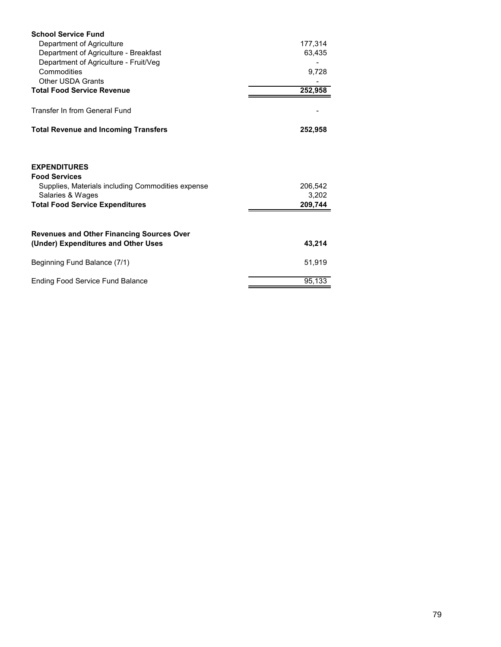| <b>School Service Fund</b>                                                                       |                  |
|--------------------------------------------------------------------------------------------------|------------------|
| Department of Agriculture                                                                        | 177,314          |
| Department of Agriculture - Breakfast                                                            | 63,435           |
| Department of Agriculture - Fruit/Veg                                                            |                  |
| Commodities                                                                                      | 9,728            |
| <b>Other USDA Grants</b>                                                                         |                  |
| <b>Total Food Service Revenue</b>                                                                | 252,958          |
| Transfer In from General Fund                                                                    |                  |
|                                                                                                  |                  |
| <b>Total Revenue and Incoming Transfers</b>                                                      | 252,958          |
| <b>EXPENDITURES</b><br><b>Food Services</b><br>Supplies, Materials including Commodities expense | 206,542          |
| Salaries & Wages<br><b>Total Food Service Expenditures</b>                                       | 3,202<br>209,744 |
|                                                                                                  |                  |
| <b>Revenues and Other Financing Sources Over</b><br>(Under) Expenditures and Other Uses          | 43,214           |
| Beginning Fund Balance (7/1)                                                                     | 51,919           |
| <b>Ending Food Service Fund Balance</b>                                                          | 95,133           |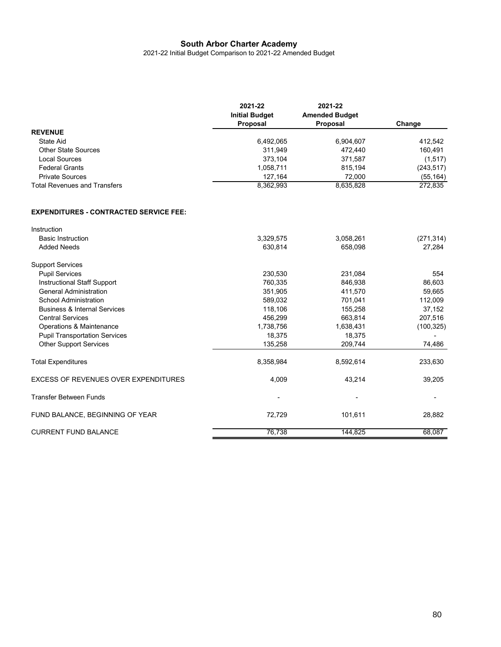2021-22 Initial Budget Comparison to 2021-22 Amended Budget

|                                     | 2021-22<br><b>Initial Budget</b><br>Proposal | 2021-22<br><b>Amended Budget</b><br><b>Proposal</b> | Change     |
|-------------------------------------|----------------------------------------------|-----------------------------------------------------|------------|
| <b>REVENUE</b>                      |                                              |                                                     |            |
| State Aid                           | 6,492,065                                    | 6.904.607                                           | 412.542    |
| Other State Sources                 | 311.949                                      | 472.440                                             | 160,491    |
| Local Sources                       | 373,104                                      | 371,587                                             | (1, 517)   |
| <b>Federal Grants</b>               | 1,058,711                                    | 815,194                                             | (243, 517) |
| <b>Private Sources</b>              | 127.164                                      | 72.000                                              | (55, 164)  |
| <b>Total Revenues and Transfers</b> | 8,362,993                                    | 8,635,828                                           | 272,835    |

#### **EXPENDITURES - CONTRACTED SERVICE FEE:**

| Instruction                                 |           |           |            |
|---------------------------------------------|-----------|-----------|------------|
| <b>Basic Instruction</b>                    | 3,329,575 | 3,058,261 | (271, 314) |
| <b>Added Needs</b>                          | 630,814   | 658,098   | 27,284     |
| <b>Support Services</b>                     |           |           |            |
| <b>Pupil Services</b>                       | 230,530   | 231,084   | 554        |
| Instructional Staff Support                 | 760,335   | 846,938   | 86,603     |
| <b>General Administration</b>               | 351,905   | 411,570   | 59,665     |
| School Administration                       | 589,032   | 701,041   | 112,009    |
| <b>Business &amp; Internal Services</b>     | 118,106   | 155,258   | 37,152     |
| <b>Central Services</b>                     | 456,299   | 663,814   | 207,516    |
| Operations & Maintenance                    | 1,738,756 | 1,638,431 | (100, 325) |
| <b>Pupil Transportation Services</b>        | 18,375    | 18,375    |            |
| <b>Other Support Services</b>               | 135,258   | 209,744   | 74,486     |
| <b>Total Expenditures</b>                   | 8,358,984 | 8,592,614 | 233,630    |
| <b>EXCESS OF REVENUES OVER EXPENDITURES</b> | 4,009     | 43,214    | 39,205     |
| <b>Transfer Between Funds</b>               |           |           |            |
| FUND BALANCE, BEGINNING OF YEAR             | 72,729    | 101,611   | 28,882     |
| <b>CURRENT FUND BALANCE</b>                 | 76,738    | 144,825   | 68,087     |